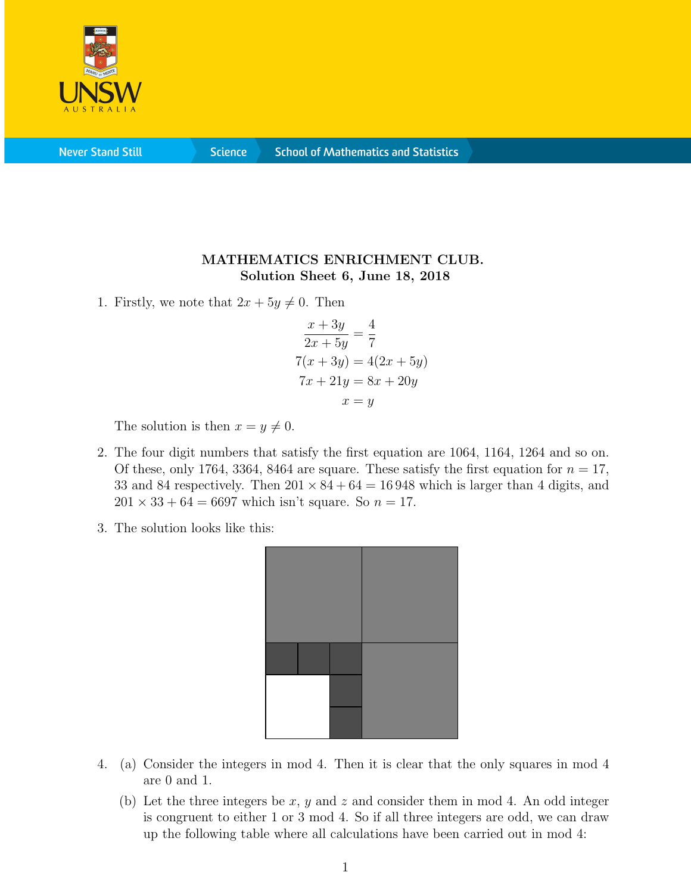

**Never Stand Still** 

**Science** 

## MATHEMATICS ENRICHMENT CLUB. Solution Sheet 6, June 18, 2018

1. Firstly, we note that  $2x + 5y \neq 0$ . Then

$$
\frac{x+3y}{2x+5y} = \frac{4}{7}
$$
  
7(x+3y) = 4(2x + 5y)  
7x + 21y = 8x + 20y  

$$
x = y
$$

The solution is then  $x = y \neq 0$ .

- 2. The four digit numbers that satisfy the first equation are 1064, 1164, 1264 and so on. Of these, only 1764, 3364, 8464 are square. These satisfy the first equation for  $n = 17$ , 33 and 84 respectively. Then  $201 \times 84 + 64 = 16948$  which is larger than 4 digits, and  $201 \times 33 + 64 = 6697$  which isn't square. So  $n = 17$ .
- 3. The solution looks like this:



- 4. (a) Consider the integers in mod 4. Then it is clear that the only squares in mod 4 are 0 and 1.
	- (b) Let the three integers be x, y and z and consider them in mod 4. An odd integer is congruent to either 1 or 3 mod 4. So if all three integers are odd, we can draw up the following table where all calculations have been carried out in mod 4: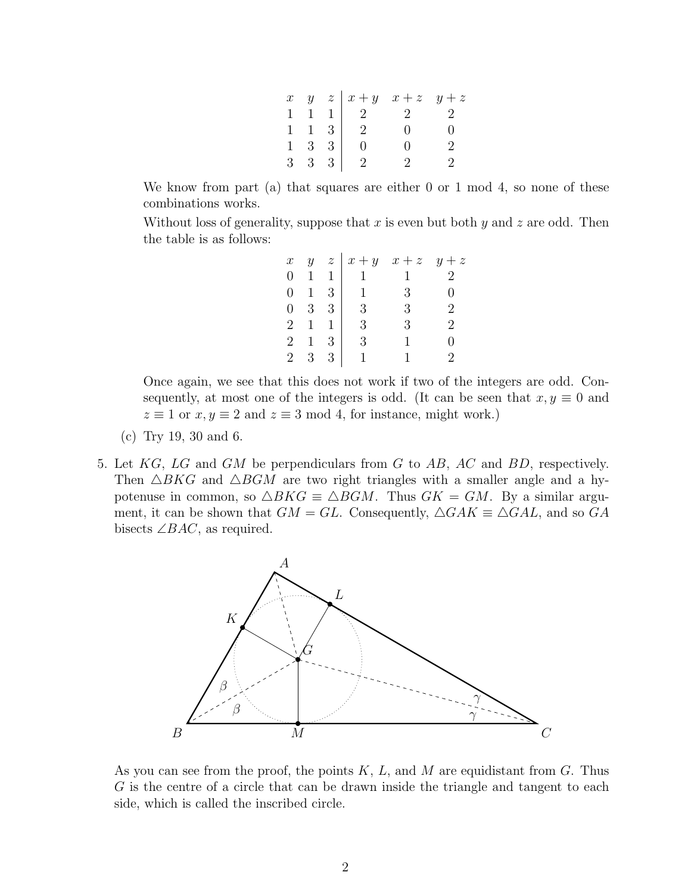|  |                            | $x \quad y \quad z \mid x + y \quad x + z \quad y + z$                                                         |  |
|--|----------------------------|----------------------------------------------------------------------------------------------------------------|--|
|  |                            |                                                                                                                |  |
|  |                            |                                                                                                                |  |
|  |                            | $\begin{array}{ccc ccc c} 1 & 1 & 1 & 2 & 2 & 2 \\ 1 & 1 & 3 & 2 & 0 & 0 \\ 1 & 3 & 3 & 0 & 0 & 2 \end{array}$ |  |
|  | $3 \quad 3 \quad 3 \mid 2$ | $\mathcal{P}$ and $\mathcal{P}$                                                                                |  |

We know from part (a) that squares are either 0 or 1 mod 4, so none of these combinations works.

Without loss of generality, suppose that  $x$  is even but both  $y$  and  $z$  are odd. Then the table is as follows:

| $\boldsymbol{x}$ |                |               | $y \quad z \mid x+y$ | $x + z$ | $y + z$        |
|------------------|----------------|---------------|----------------------|---------|----------------|
| $\overline{0}$   | $\mathbf{1}$   | $\mathbf{1}$  |                      |         | $\overline{2}$ |
| $\overline{0}$   | $\mathbf{1}$   | -3            | $\overline{1}$       | 3       |                |
| $\overline{0}$   | 3 <sup>1</sup> | -3            | 3                    | 3       | 2              |
| $\overline{2}$   | $1 \quad 1$    |               | 3                    | 3       | 9              |
| $\overline{2}$   |                | 3             | 3                    |         | 0              |
| $\overline{2}$   | 3              | $\mathcal{S}$ |                      |         | 9              |

Once again, we see that this does not work if two of the integers are odd. Consequently, at most one of the integers is odd. (It can be seen that  $x, y \equiv 0$  and  $z \equiv 1$  or  $x, y \equiv 2$  and  $z \equiv 3 \mod 4$ , for instance, might work.)

- (c) Try 19, 30 and 6.
- 5. Let  $KG$ , LG and GM be perpendiculars from G to AB, AC and BD, respectively. Then  $\triangle BKG$  and  $\triangle BGM$  are two right triangles with a smaller angle and a hypotenuse in common, so  $\triangle BKG \equiv \triangle BGM$ . Thus  $GK = GM$ . By a similar argument, it can be shown that  $GM = GL$ . Consequently,  $\triangle GAK \equiv \triangle GAL$ , and so GA bisects  $\angle BAC$ , as required.



As you can see from the proof, the points  $K, L$ , and M are equidistant from G. Thus G is the centre of a circle that can be drawn inside the triangle and tangent to each side, which is called the inscribed circle.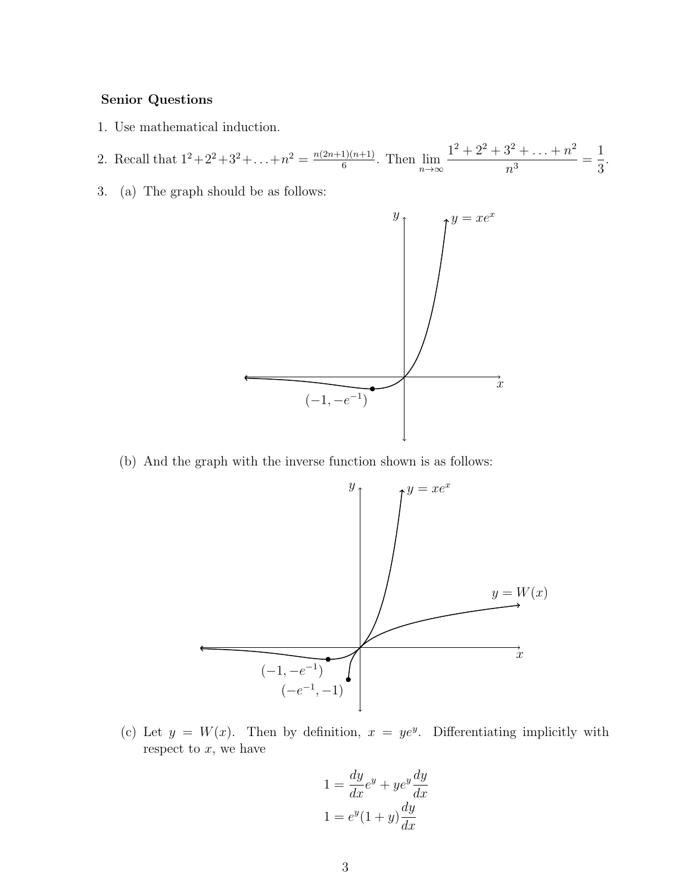## Senior Questions

- 1. Use mathematical induction.
- 2. Recall that  $1^2+2^2+3^2+\ldots+n^2=\frac{n(2n+1)(n+1)}{6}$  $\frac{1}{6}$ . Then  $\lim_{n\to\infty}$  $1^2 + 2^2 + 3^2 + \ldots + n^2$  $\frac{n^3}{n^3} =$ 1 3 .
- 3. (a) The graph should be as follows:



(b) And the graph with the inverse function shown is as follows:



(c) Let  $y = W(x)$ . Then by definition,  $x = ye^y$ . Differentiating implicitly with respect to  $x$ , we have

$$
1 = \frac{dy}{dx}e^y + ye^y \frac{dy}{dx}
$$

$$
1 = e^y(1+y)\frac{dy}{dx}
$$